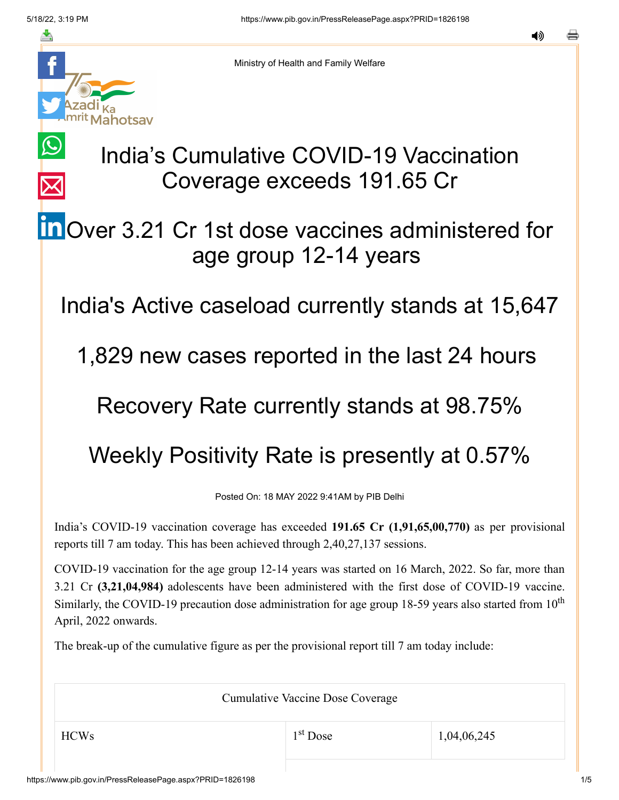$\bigcirc$ 

 $\overline{\times}$ 



Ministry of Health and Family Welfare

# India's Cumulative COVID-19 Vaccination Coverage exceeds 191.65 Cr

## **in** [O](https://www.linkedin.com/shareArticle?mini=true&url=https://pib.gov.in/PressReleasePage.aspx?PRID=1826198&title=India%E2%80%99s%20Cumulative%20COVID-19%20Vaccination%20Coverage%20exceeds%20191.65%20Cr&summary=My%20favorite%20developer%20program&source=LinkedIn)ver 3.21 Cr 1st dose vaccines administered for age group 12-14 years

India's Active caseload currently stands at 15,647

1,829 new cases reported in the last 24 hours

### Recovery Rate currently stands at 98.75%

## Weekly Positivity Rate is presently at 0.57%

Posted On: 18 MAY 2022 9:41AM by PIB Delhi

India's COVID-19 vaccination coverage has exceeded **191.65 Cr (1,91,65,00,770)** as per provisional reports till 7 am today. This has been achieved through 2,40,27,137 sessions.

COVID-19 vaccination for the age group 12-14 years was started on 16 March, 2022. So far, more than 3.21 Cr **(3,21,04,984)** adolescents have been administered with the first dose of COVID-19 vaccine. Similarly, the COVID-19 precaution dose administration for age group 18-59 years also started from  $10<sup>th</sup>$ April, 2022 onwards.

The break-up of the cumulative figure as per the provisional report till 7 am today include:

Cumulative Vaccine Dose Coverage

1<sup>st</sup> Dose

 $1^{\text{st}}$  Dose 1,04,06,245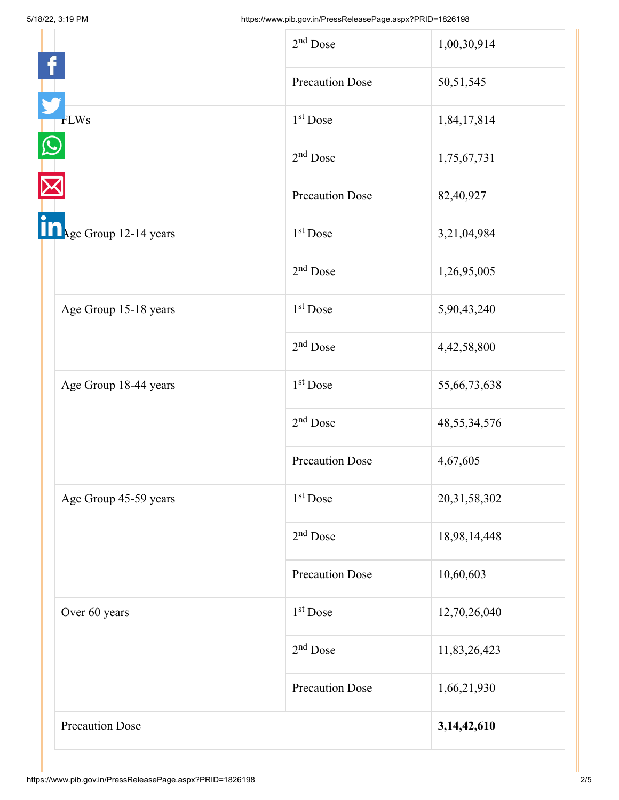|                                | $2nd$ Dose             | 1,00,30,914     |
|--------------------------------|------------------------|-----------------|
|                                | <b>Precaution Dose</b> | 50,51,545       |
| <b>FLWs</b>                    | 1 <sup>st</sup> Dose   | 1,84,17,814     |
|                                | $2nd$ Dose             | 1,75,67,731     |
|                                | <b>Precaution Dose</b> | 82,40,927       |
| <b>Table Group 12-14 years</b> | 1 <sup>st</sup> Dose   | 3,21,04,984     |
|                                | $2nd$ Dose             | 1,26,95,005     |
| Age Group 15-18 years          | 1 <sup>st</sup> Dose   | 5,90,43,240     |
|                                | $2nd$ Dose             | 4,42,58,800     |
| Age Group 18-44 years          | $1st$ Dose             | 55,66,73,638    |
|                                | $2nd$ Dose             | 48, 55, 34, 576 |
|                                | <b>Precaution Dose</b> | 4,67,605        |
| Age Group 45-59 years          | 1 <sup>st</sup> Dose   | 20,31,58,302    |
|                                | $2nd$ Dose             | 18,98,14,448    |
|                                | <b>Precaution Dose</b> | 10,60,603       |
| Over 60 years                  | $1st$ Dose             | 12,70,26,040    |
|                                | $2nd$ Dose             | 11,83,26,423    |
|                                | <b>Precaution Dose</b> | 1,66,21,930     |
| <b>Precaution Dose</b>         |                        | 3, 14, 42, 610  |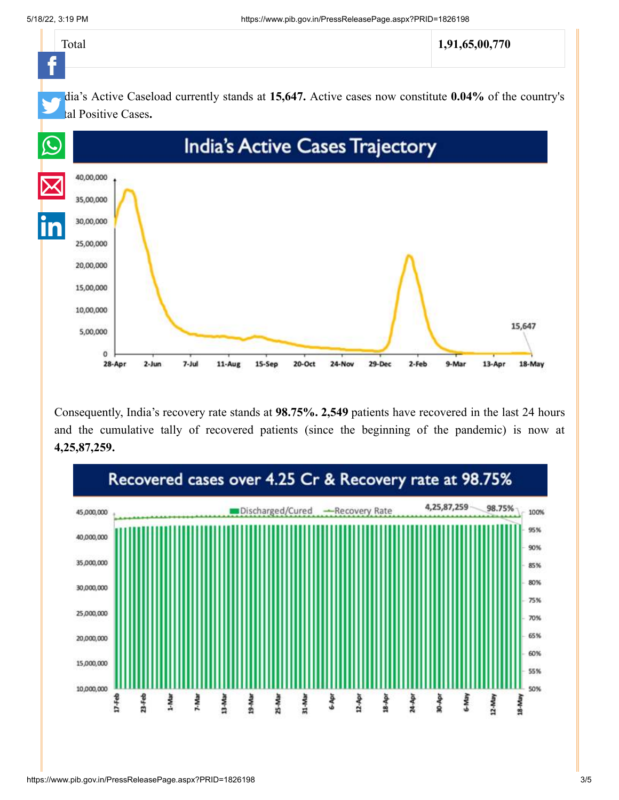

Consequently, India's recovery rate stands at **98.75%. 2,549** patients have recovered in the last 24 hours and the cumulative tally of recovered patients (since the beginning of the pandemic) is now at **4,25,87,259.**

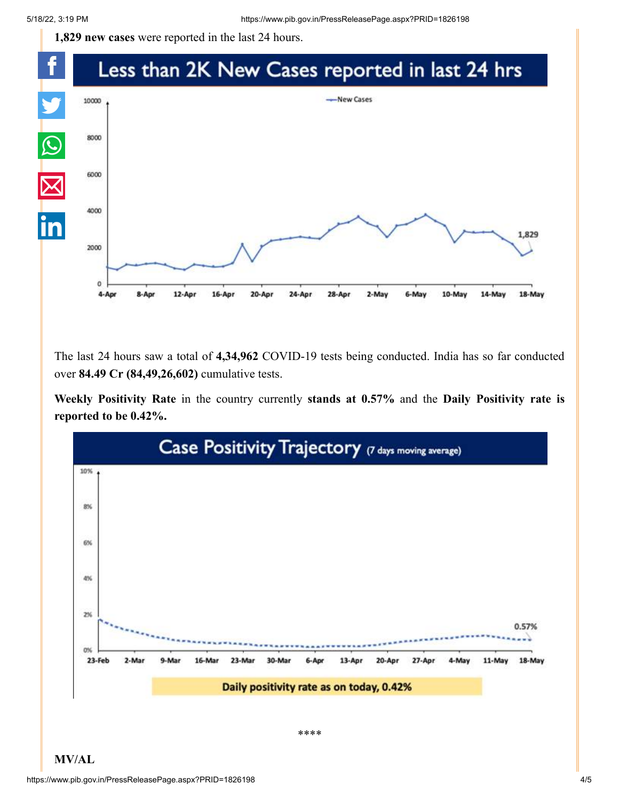**1,829 new cases** were reported in the last 24 hours.



The last 24 hours saw a total of **4,34,962** COVID-19 tests being conducted. India has so far conducted over **84.49 Cr (84,49,26,602)** cumulative tests.

**Weekly Positivity Rate** in the country currently **stands at 0.57%** and the **Daily Positivity rate is reported to be 0.42%.**